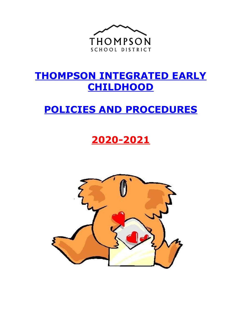

# **THOMPSON INTEGRATED EARLY CHILDHOOD**

# **POLICIES AND PROCEDURES**

# **2020-2021**

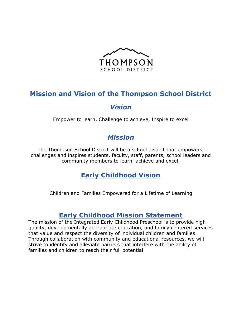

# **Mission and Vision of the Thompson School District**

## *Vision*

Empower to learn, Challenge to achieve, Inspire to excel

# *Mission*

The Thompson School District will be a school district that empowers, challenges and inspires students, faculty, staff, parents, school leaders and community members to learn, achieve and excel.

# **Early Childhood Vision**

Children and Families Empowered for a Lifetime of Learning

## **Early Childhood Mission Statement**

The mission of the Integrated Early Childhood Preschool is to provide high quality, developmentally appropriate education, and family centered services that value and respect the diversity of individual children and families. Through collaboration with community and educational resources, we will strive to identify and alleviate barriers that interfere with the ability of families and children to reach their full potential.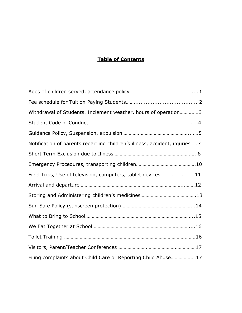### **Table of Contents**

| Withdrawal of Students. Inclement weather, hours of operation3              |
|-----------------------------------------------------------------------------|
|                                                                             |
|                                                                             |
| Notification of parents regarding children's illness, accident, injuries  7 |
|                                                                             |
|                                                                             |
| Field Trips, Use of television, computers, tablet devices11                 |
|                                                                             |
|                                                                             |
|                                                                             |
|                                                                             |
|                                                                             |
|                                                                             |
|                                                                             |
| Filing complaints about Child Care or Reporting Child Abuse17               |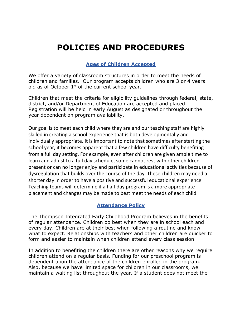# **POLICIES AND PROCEDURES**

### **Ages of Children Accepted**

We offer a variety of classroom structures in order to meet the needs of children and families. Our program accepts children who are 3 or 4 years old as of October  $1^{st}$  of the current school year.

Children that meet the criteria for eligibility guidelines through federal, state, district, and/or Department of Education are accepted and placed. Registration will be held in early August as designated or throughout the year dependent on program availability.

Our goal is to meet each child where they are and our teaching staff are highly skilled in creating a school experience that is both developmentally and individually appropriate. It is important to note that sometimes after starting the school year, it becomes apparent that a few children have difficulty benefiting from a full day setting. For example, even after children are given ample time to learn and adjust to a full day schedule, some cannot rest with other children present or can no longer enjoy and participate in educational activities because of dysregulation that builds over the course of the day. These children may need a shorter day in order to have a positive and successful educational experience. Teaching teams will determine if a half day program is a more appropriate placement and changes may be made to best meet the needs of each child.

#### **Attendance Policy**

The Thompson Integrated Early Childhood Program believes in the benefits of regular attendance. Children do best when they are in school each and every day. Children are at their best when following a routine and know what to expect. Relationships with teachers and other children are quicker to form and easier to maintain when children attend every class session.

In addition to benefiting the children there are other reasons why we require children attend on a regular basis. Funding for our preschool program is dependent upon the attendance of the children enrolled in the program. Also, because we have limited space for children in our classrooms, we maintain a waiting list throughout the year. If a student does not meet the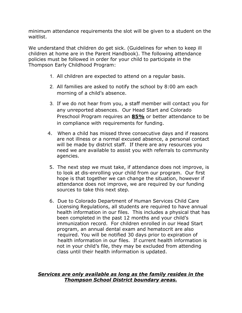minimum attendance requirements the slot will be given to a student on the waitlist.

We understand that children do get sick. (Guidelines for when to keep ill children at home are in the Parent Handbook). The following attendance policies must be followed in order for your child to participate in the Thompson Early Childhood Program:

- 1. All children are expected to attend on a regular basis.
- 2. All families are asked to notify the school by 8:00 am each morning of a child's absence.
- 3. If we do not hear from you, a staff member will contact you for any unreported absences. Our Head Start and Colorado Preschool Program requires an **85%** or better attendance to be in compliance with requirements for funding.
- 4. When a child has missed three consecutive days and if reasons are not illness or a normal excused absence, a personal contact will be made by district staff. If there are any resources you need we are available to assist you with referrals to community agencies.
- 5. The next step we must take, if attendance does not improve, is to look at dis-enrolling your child from our program. Our first hope is that together we can change the situation, however if attendance does not improve, we are required by our funding sources to take this next step.
- 6. Due to Colorado Department of Human Services Child Care Licensing Regulations, all students are required to have annual health information in our files. This includes a physical that has been completed in the past 12 months and your child's immunization record. For children enrolled in our Head Start program, an annual dental exam and hematocrit are also required. You will be notified 30 days prior to expiration of health information in our files. If current health information is not in your child's file, they may be excluded from attending class until their health information is updated.

#### *Services are only available as long as the family resides in the Thompson School District boundary areas.*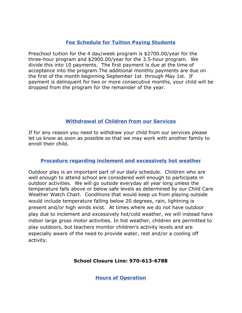#### **Fee Schedule for Tuition Paying Students**

Preschool tuition for the 4 day/week program is \$2700.00/year for the three-hour program and \$2900.00/year for the 3.5-hour program. We divide this into 10 payments. The first payment is due at the time of acceptance into the program.The additional monthly payments are due on the first of the month beginning September 1st through May 1st. If payment is delinquent for two or more consecutive months, your child will be dropped from the program for the remainder of the year.

#### **Withdrawal of Children from our Services**

If for any reason you need to withdraw your child from our services please let us know as soon as possible so that we may work with another family to enroll their child.

#### **Procedure regarding inclement and excessively hot weather**

Outdoor play is an important part of our daily schedule. Children who are well enough to attend school are considered well enough to participate in outdoor activities. We will go outside everyday all year long unless the temperature falls above or below safe levels as determined by our Child Care Weather Watch Chart. Conditions that would keep us from playing outside would include temperature falling below 20 degrees, rain, lightning is present and/or high winds exist. At times where we do not have outdoor play due to inclement and excessively hot/cold weather, we will instead have indoor large gross motor activities. In hot weather, children are permitted to play outdoors, but teachers monitor children's activity levels and are especially aware of the need to provide water, rest and/or a cooling off activity.

#### **School Closure Line: 970-613-6788**

**Hours of Operation**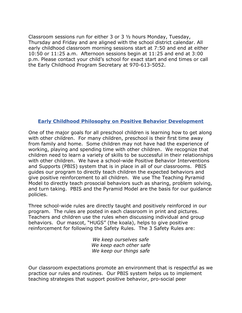Classroom sessions run for either 3 or 3 ½ hours Monday, Tuesday, Thursday and Friday and are aligned with the school district calendar. All early childhood classroom morning sessions start at 7:50 and end at either 10:50 or 11:25 a.m. Afternoon sessions begin at 11:25 and end at 3:00 p.m. Please contact your child's school for exact start and end times or call the Early Childhood Program Secretary at 970-613-5052.

#### **Early Childhood Philosophy on Positive Behavior Development**

One of the major goals for all preschool children is learning how to get along with other children. For many children, preschool is their first time away from family and home. Some children may not have had the experience of working, playing and spending time with other children. We recognize that children need to learn a variety of skills to be successful in their relationships with other children. We have a school-wide Positive Behavior Interventions and Supports (PBIS) system that is in place in all of our classrooms. PBIS guides our program to directly teach children the expected behaviors and give positive reinforcement to all children. We use The Teaching Pyramid Model to directly teach prosocial behaviors such as sharing, problem solving, and turn taking. PBIS and the Pyramid Model are the basis for our guidance policies.

Three school-wide rules are directly taught and positively reinforced in our program. The rules are posted in each classroom in print and pictures. Teachers and children use the rules when discussing individual and group behaviors. Our mascot, "HUGS" (the koala), helps to give positive reinforcement for following the Safety Rules. The 3 Safety Rules are:

> *We keep ourselves safe We keep each other safe We keep our things safe*

Our classroom expectations promote an environment that is respectful as we practice our rules and routines. Our PBIS system helps us to implement teaching strategies that support positive behavior, pro-social peer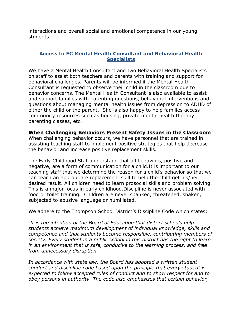interactions and overall social and emotional competence in our young students.

#### **Access to EC Mental Health Consultant and Behavioral Health Specialists**

We have a Mental Health Consultant and two Behavioral Health Specialists on staff to assist both teachers and parents with training and support for behavioral challenges. Parents will be informed if the Mental Health Consultant is requested to observe their child in the classroom due to behavior concerns. The Mental Health Consultant is also available to assist and support families with parenting questions, behavioral interventions and questions about managing mental health issues from depression to ADHD of either the child or the parent. She is also happy to help families access community resources such as housing, private mental health therapy, parenting classes, etc.

#### **When Challenging Behaviors Present Safety Issues in the Classroom**

When challenging behavior occurs, we have personnel that are trained in assisting teaching staff to implement positive strategies that help decrease the behavior and increase positive replacement skills.

The Early Childhood Staff understand that all behaviors, positive and negative, are a form of communication for a child.It is important to our teaching staff that we determine the reason for a child's behavior so that we can teach an appropriate replacement skill to help the child get his/her desired result. All children need to learn prosocial skills and problem solving. This is a major focus in early childhood.Discipline is never associated with food or toilet training. Children are never spanked, threatened, shaken, subjected to abusive language or humiliated.

We adhere to the Thompson School District's Discipline Code which states:

*It is the intention of the Board of Education that district schools help students achieve maximum development of individual knowledge, skills and competence and that students become responsible, contributing members of society. Every student in a public school in this district has the right to learn in an environment that is safe, conducive to the learning process, and free from unnecessary disruption.*

*In accordance with state law, the Board has adopted a written student conduct and discipline code based upon the principle that every student is expected to follow accepted rules of conduct and to show respect for and to obey persons in authority. The code also emphasizes that certain behavior,*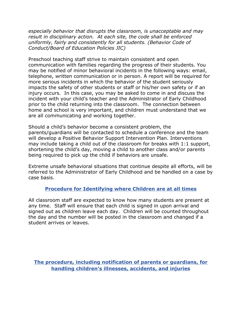*especially behavior that disrupts the classroom, is unacceptable and may result in disciplinary action. At each site, the code shall be enforced uniformly, fairly and consistently for all students. (Behavior Code of Conduct/Board of Education Policies JIC)*

Preschool teaching staff strive to maintain consistent and open communication with families regarding the progress of their students. You may be notified of minor behavioral incidents in the following ways: email, telephone, written communication or in person. A report will be required for more serious incidents in which the behavior of the student seriously impacts the safety of other students or staff or his/her own safety or if an injury occurs. In this case, you may be asked to come in and discuss the incident with your child's teacher and the Administrator of Early Childhood prior to the child returning into the classroom. The connection between home and school is very important, and children must understand that we are all communicating and working together.

Should a child's behavior become a consistent problem, the parents/guardians will be contacted to schedule a conference and the team will develop a Positive Behavior Support Intervention Plan. Interventions may include taking a child out of the classroom for breaks with 1:1 support, shortening the child's day, moving a child to another class and/or parents being required to pick up the child if behaviors are unsafe.

Extreme unsafe behavioral situations that continue despite all efforts, will be referred to the Administrator of Early Childhood and be handled on a case by case basis.

#### **Procedure for Identifying where Children are at all times**

All classroom staff are expected to know how many students are present at any time. Staff will ensure that each child is signed in upon arrival and signed out as children leave each day. Children will be counted throughout the day and the number will be posted in the classroom and changed if a student arrives or leaves.

**The procedure, including notification of parents or guardians, for handling children's illnesses, accidents, and injuries**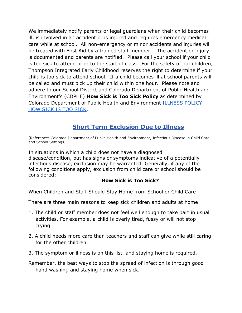We immediately notify parents or legal guardians when their child becomes ill, is involved in an accident or is injured and requires emergency medical care while at school. All non-emergency or minor accidents and injuries will be treated with First Aid by a trained staff member. The accident or injury is documented and parents are notified. Please call your school if your child is too sick to attend prior to the start of class. For the safety of our children, Thompson Integrated Early Childhood reserves the right to determine if your child is too sick to attend school. If a child becomes ill at school parents will be called and must pick up their child within one hour. Please note and adhere to our School District and Colorado Department of Public Health and Environment's (CDPHE) **How Sick is Too Sick Policy** as determined by Colorado Department of Public Health and Environment [ILLNESS POLICY -](https://www.colorado.gov/pacific/sites/default/files/DEHS_ChildCare_HowSickistooSickIllnessPolicy_English.pdf) [HOW SICK IS TOO SICK.](https://www.colorado.gov/pacific/sites/default/files/DEHS_ChildCare_HowSickistooSickIllnessPolicy_English.pdf)

## **Short Term Exclusion Due to Illness**

(Reference: Colorado Department of Public Health and Environment, Infectious Disease in Child Care and School Settings)l

In situations in which a child does not have a diagnosed disease/condition, but has signs or symptoms indicative of a potentially infectious disease, exclusion may be warranted. Generally, if any of the following conditions apply, exclusion from child care or school should be considered:

#### **How Sick is Too Sick?**

When Children and Staff Should Stay Home from School or Child Care

There are three main reasons to keep sick children and adults at home:

- 1. The child or staff member does not feel well enough to take part in usual activities. For example, a child is overly tired, fussy or will not stop crying.
- 2. A child needs more care than teachers and staff can give while still caring for the other children.
- 3. The symptom or illness is on this list, and staying home is required.
- Remember, the best ways to stop the spread of infection is through good hand washing and staying home when sick.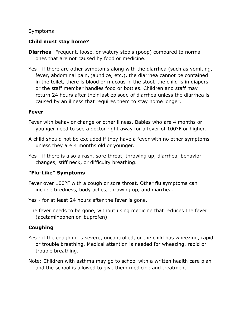#### Symptoms

#### **Child must stay home?**

- **Diarrhea** Frequent, loose, or watery stools (poop) compared to normal ones that are not caused by food or medicine.
- Yes if there are other symptoms along with the diarrhea (such as vomiting, fever, abdominal pain, jaundice, etc.), the diarrhea cannot be contained in the toilet, there is blood or mucous in the stool, the child is in diapers or the staff member handles food or bottles. Children and staff may return 24 hours after their last episode of diarrhea unless the diarrhea is caused by an illness that requires them to stay home longer.

#### **Fever**

- Fever with behavior change or other illness. Babies who are 4 months or younger need to see a doctor right away for a fever of 100°F or higher.
- A child should not be excluded if they have a fever with no other symptoms unless they are 4 months old or younger.
- Yes if there is also a rash, sore throat, throwing up, diarrhea, behavior changes, stiff neck, or difficulty breathing.

#### **"Flu-Like" Symptoms**

- Fever over 100°F with a cough or sore throat. Other flu symptoms can include tiredness, body aches, throwing up, and diarrhea.
- Yes for at least 24 hours after the fever is gone.
- The fever needs to be gone, without using medicine that reduces the fever (acetaminophen or ibuprofen).

#### **Coughing**

- Yes if the coughing is severe, uncontrolled, or the child has wheezing, rapid or trouble breathing. Medical attention is needed for wheezing, rapid or trouble breathing.
- Note: Children with asthma may go to school with a written health care plan and the school is allowed to give them medicine and treatment.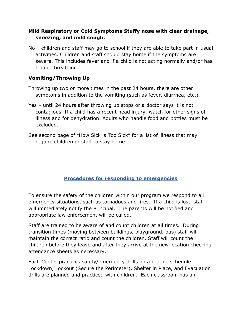#### **Mild Respiratory or Cold Symptoms Stuffy nose with clear drainage, sneezing, and mild cough.**

No – children and staff may go to school if they are able to take part in usual activities. Children and staff should stay home if the symptoms are severe. This includes fever and if a child is not acting normally and/or has trouble breathing.

### **Vomiting/Throwing Up**

- Throwing up two or more times in the past 24 hours, there are other symptoms in addition to the vomiting (such as fever, diarrhea, etc.).
- Yes until 24 hours after throwing up stops or a doctor says it is not contagious. If a child has a recent head injury, watch for other signs of illness and for dehydration. Adults who handle food and bottles must be excluded.
- See second page of "How Sick is Too Sick" for a list of illness that may require children or staff to stay home.

## **Procedures for responding to emergencies**

To ensure the safety of the children within our program we respond to all emergency situations, such as tornadoes and fires. If a child is lost, staff will immediately notify the Principal. The parents will be notified and appropriate law enforcement will be called.

Staff are trained to be aware of and count children at all times. During transition times (moving between buildings, playground, bus) staff will maintain the correct ratio and count the children. Staff will count the children before they leave and after they arrive at the new location checking attendance sheets as necessary.

Each Center practices safety/emergency drills on a routine schedule. Lockdown, Lockout (Secure the Perimeter), Shelter in Place, and Evacuation drills are planned and practiced with children. Each classroom has an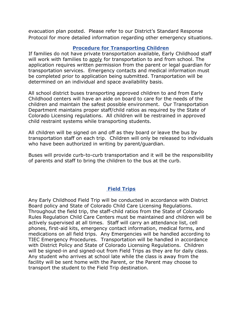evacuation plan posted. Please refer to our District's Standard Response Protocol for more detailed information regarding other emergency situations.

#### **Procedure for Transporting Children**

If families do not have private transportation available, Early Childhood staff will work with families to apply for transportation to and from school. The application requires written permission from the parent or legal guardian for transportation services. Emergency contacts and medical information must be completed prior to application being submitted. Transportation will be determined on an individual and space availability basis.

All school district buses transporting approved children to and from Early Childhood centers will have an aide on board to care for the needs of the children and maintain the safest possible environment. Our Transportation Department maintains proper staff/child ratios as required by the State of Colorado Licensing regulations. All children will be restrained in approved child restraint systems while transporting students.

All children will be signed on and off as they board or leave the bus by transportation staff on each trip. Children will only be released to individuals who have been authorized in writing by parent/guardian.

Buses will provide curb-to-curb transportation and it will be the responsibility of parents and staff to bring the children to the bus at the curb.

#### **Field Trips**

Any Early Childhood Field Trip will be conducted in accordance with District Board policy and State of Colorado Child Care Licensing Regulations. Throughout the field trip, the staff-child ratios from the State of Colorado Rules Regulation Child Care Centers must be maintained and children will be actively supervised at all times. Staff will carry an attendance list, cell phones, first-aid kits, emergency contact information, medical forms, and medications on all field trips. Any Emergencies will be handled according to TIEC Emergency Procedures. Transportation will be handled in accordance with District Policy and State of Colorado Licensing Regulations. Children will be signed-in and signed-out from Field Trips as they are for daily class. Any student who arrives at school late while the class is away from the facility will be sent home with the Parent, or the Parent may choose to transport the student to the Field Trip destination.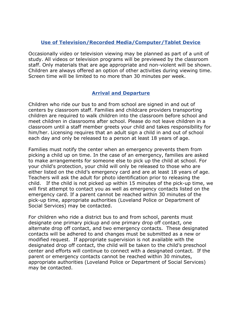#### **Use of Television/Recorded Media/Computer/Tablet Device**

Occasionally video or television viewing may be planned as part of a unit of study. All videos or television programs will be previewed by the classroom staff. Only materials that are age appropriate and non-violent will be shown. Children are always offered an option of other activities during viewing time. Screen time will be limited to no more than 30 minutes per week.

#### **Arrival and Departure**

Children who ride our bus to and from school are signed in and out of centers by classroom staff. Families and childcare providers transporting children are required to walk children into the classroom before school and meet children in classrooms after school. Please do not leave children in a classroom until a staff member greets your child and takes responsibility for him/her. Licensing requires that an adult sign a child in and out of school each day and only be released to a person at least 18 years of age.

Families must notify the center when an emergency prevents them from picking a child up on time. In the case of an emergency, families are asked to make arrangements for someone else to pick up the child at school. For your child's protection, your child will only be released to those who are either listed on the child's emergency card and are at least 18 years of age. Teachers will ask the adult for photo identification prior to releasing the child. If the child is not picked up within 15 minutes of the pick-up time, we will first attempt to contact you as well as emergency contacts listed on the emergency card. If a parent cannot be reached within 30 minutes of the pick-up time, appropriate authorities (Loveland Police or Department of Social Services) may be contacted.

For children who ride a district bus to and from school, parents must designate one primary pickup and one primary drop off contact, one alternate drop off contact, and two emergency contacts. These designated contacts will be adhered to and changes must be submitted as a new or modified request. If appropriate supervision is not available with the designated drop off contact, the child will be taken to the child's preschool center and efforts will continue to connect with a designated contact. If the parent or emergency contacts cannot be reached within 30 minutes, appropriate authorities (Loveland Police or Department of Social Services) may be contacted.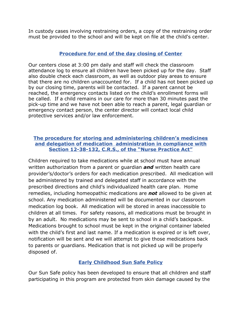In custody cases involving restraining orders, a copy of the restraining order must be provided to the school and will be kept on file at the child's center.

#### **Procedure for end of the day closing of Center**

Our centers close at 3:00 pm daily and staff will check the classroom attendance log to ensure all children have been picked up for the day. Staff also double check each classroom, as well as outdoor play areas to ensure that there are no children unaccounted for. If a child has not been picked up by our closing time, parents will be contacted. If a parent cannot be reached, the emergency contacts listed on the child's enrollment forms will be called. If a child remains in our care for more than 30 minutes past the pick-up time and we have not been able to reach a parent, legal guardian or emergency contact person, the center director will contact local child protective services and/or law enforcement.

#### **The procedure for storing and administering children's medicines and delegation of medication administration in compliance with Section 12-38-132, C.R.S., of the "Nurse Practice Act"**

Children required to take medications while at school must have annual written authorization from a parent or guardian *and* written health care provider's/doctor's orders for each medication prescribed. All medication will be administered by trained and delegated staff in accordance with the prescribed directions and child's individualized health care plan. Home remedies, including homeopathic medications are *not* allowed to be given at school. Any medication administered will be documented in our classroom medication log book. All medication will be stored in areas inaccessible to children at all times. For safety reasons, all medications must be brought in by an adult. No medications may be sent to school in a child's backpack. Medications brought to school must be kept in the original container labeled with the child's first and last name. If a medication is expired or is left over, notification will be sent and we will attempt to give those medications back to parents or guardians. Medication that is not picked up will be properly disposed of.

## **Early Childhood Sun Safe Policy**

Our Sun Safe policy has been developed to ensure that all children and staff participating in this program are protected from skin damage caused by the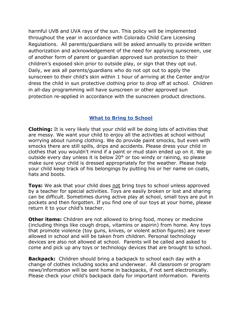harmful UVB and UVA rays of the sun. This policy will be implemented throughout the year in accordance with Colorado Child Care Licensing Regulations. All parents/guardians will be asked annually to provide written authorization and acknowledgement of the need for applying sunscreen, use of another form of parent or guardian approved sun protection to their children's exposed skin prior to outside play, or sign that they opt out. Daily, we ask all parents/guardians who do not opt out to apply the sunscreen to their child's skin within 1 hour of arriving at the Center and/or dress the child in sun protective clothing prior to drop off at school. Children in all-day programming will have sunscreen or other approved sun protection re-applied in accordance with the sunscreen product directions.

#### **What to Bring to School**

**Clothing:** It is very likely that your child will be doing lots of activities that are messy. We want your child to enjoy all the activities at school without worrying about ruining clothing. We do provide paint smocks, but even with smocks there are still spills, drips and accidents. Please dress your child in clothes that you wouldn't mind if a paint or mud stain ended up on it. We go outside every day unless it is below 20° or too windy or raining, so please make sure your child is dressed appropriately for the weather. Please help your child keep track of his belongings by putting his or her name on coats, hats and boots.

**Toys:** We ask that your child does not bring toys to school unless approved by a teacher for special activities. Toys are easily broken or lost and sharing can be difficult. Sometimes during active play at school, small toys are put in pockets and then forgotten. If you find one of our toys at your home, please return it to your child's teacher.

**Other items:** Children are not allowed to bring food, money or medicine (including things like cough drops, vitamins or aspirin) from home. Any toys that promote violence (toy guns, knives, or violent action figures) are never allowed in school and will be taken from children. Personal technology devices are also not allowed at school. Parents will be called and asked to come and pick up any toys or technology devices that are brought to school.

**Backpack:** Children should bring a backpack to school each day with a change of clothes including socks and underwear. All classroom or program news/information will be sent home in backpacks, if not sent electronically. Please check your child's backpack daily for important information. Parents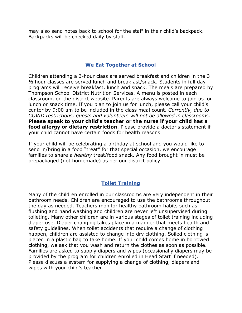may also send notes back to school for the staff in their child's backpack. Backpacks will be checked daily by staff.

#### **We Eat Together at School**

Children attending a 3-hour class are served breakfast and children in the 3 ½ hour classes are served lunch and breakfast/snack. Students in full day programs will receive breakfast, lunch and snack. The meals are prepared by Thompson School District Nutrition Services. A menu is posted in each classroom, on the district website. Parents are always welcome to join us for lunch or snack time. If you plan to join us for lunch, please call your child's center by 9:00 am to be included in the class meal count. *Currently, due to COVID restrictions, guests and volunteers will not be allowed in classrooms.* **Please speak to your child's teacher or the nurse if your child has a food allergy or dietary restriction**. Please provide a doctor's statement if your child cannot have certain foods for health reasons.

If your child will be celebrating a birthday at school and you would like to send in/bring in a food "treat" for that special occasion, we encourage families to share a *healthy* treat/food snack. Any food brought in must be prepackaged (not homemade) as per our district policy.

#### **Toilet Training**

Many of the children enrolled in our classrooms are very independent in their bathroom needs. Children are encouraged to use the bathrooms throughout the day as needed. Teachers monitor healthy bathroom habits such as flushing and hand washing and children are never left unsupervised during toileting. Many other children are in various stages of toilet training including diaper use. Diaper changing takes place in a manner that meets health and safety guidelines. When toilet accidents that require a change of clothing happen, children are assisted to change into dry clothing. Soiled clothing is placed in a plastic bag to take home. If your child comes home in borrowed clothing, we ask that you wash and return the clothes as soon as possible. Families are asked to supply diapers and wipes (occasionally diapers may be provided by the program for children enrolled in Head Start if needed). Please discuss a system for supplying a change of clothing, diapers and wipes with your child's teacher.